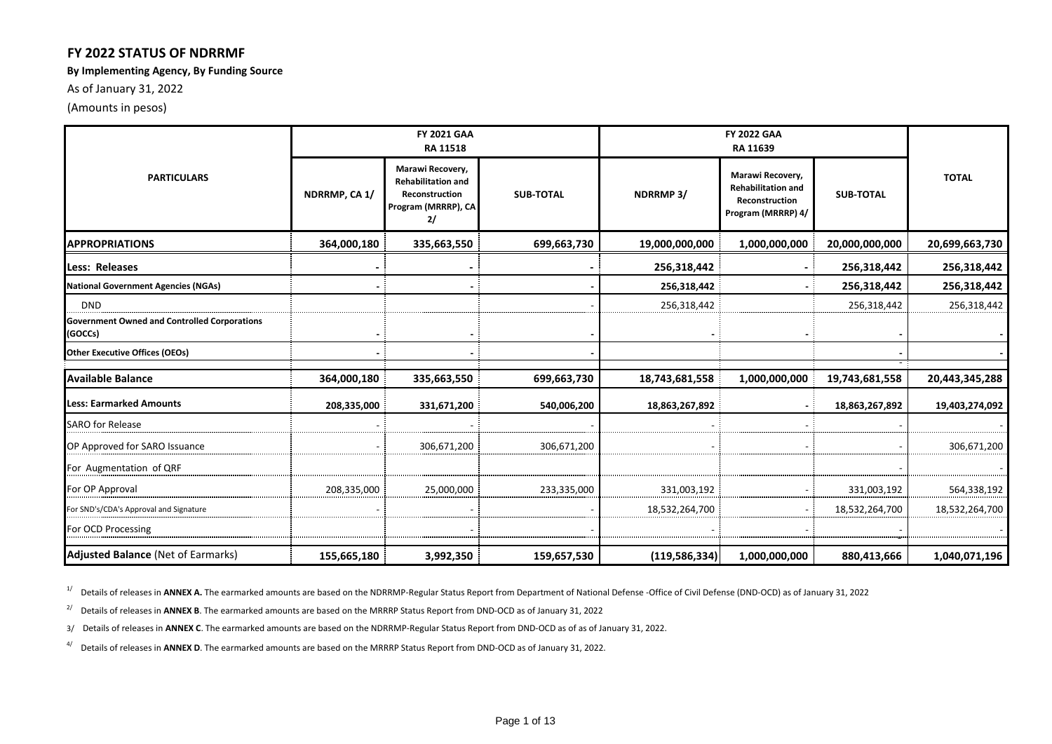### **FY 2022 STATUS OF NDRRMF**

#### **By Implementing Agency, By Funding Source**

As of January 31, 2022

(Amounts in pesos)

|                                                                | <b>FY 2021 GAA</b><br>RA 11518 |                                                                                              |                  |                 |                                                                                       |                  |                |
|----------------------------------------------------------------|--------------------------------|----------------------------------------------------------------------------------------------|------------------|-----------------|---------------------------------------------------------------------------------------|------------------|----------------|
| <b>PARTICULARS</b>                                             | NDRRMP, CA 1/                  | Marawi Recovery,<br><b>Rehabilitation and</b><br>Reconstruction<br>Program (MRRRP), CA<br>2/ | <b>SUB-TOTAL</b> | <b>NDRRMP3/</b> | Marawi Recovery,<br><b>Rehabilitation and</b><br>Reconstruction<br>Program (MRRRP) 4/ | <b>SUB-TOTAL</b> | <b>TOTAL</b>   |
| <b>APPROPRIATIONS</b>                                          | 364,000,180                    | 335,663,550                                                                                  | 699,663,730      | 19,000,000,000  | 1,000,000,000                                                                         | 20,000,000,000   | 20,699,663,730 |
| Less: Releases                                                 |                                |                                                                                              |                  | 256,318,442     |                                                                                       | 256,318,442      | 256,318,442    |
| <b>National Government Agencies (NGAs)</b>                     |                                |                                                                                              |                  | 256,318,442     |                                                                                       | 256,318,442      | 256,318,442    |
| <b>DND</b>                                                     |                                |                                                                                              |                  | 256,318,442     |                                                                                       | 256,318,442      | 256,318,442    |
| <b>Government Owned and Controlled Corporations</b><br>(GOCCs) |                                |                                                                                              |                  |                 |                                                                                       |                  |                |
| <b>Other Executive Offices (OEOs)</b>                          |                                |                                                                                              |                  |                 |                                                                                       |                  |                |
| <b>Available Balance</b>                                       | 364,000,180                    | 335,663,550                                                                                  | 699,663,730      | 18,743,681,558  | 1,000,000,000                                                                         | 19,743,681,558   | 20,443,345,288 |
| <b>Less: Earmarked Amounts</b>                                 | 208,335,000                    | 331,671,200                                                                                  | 540,006,200      | 18,863,267,892  |                                                                                       | 18,863,267,892   | 19,403,274,092 |
| <b>SARO for Release</b>                                        |                                |                                                                                              |                  |                 |                                                                                       |                  |                |
| OP Approved for SARO Issuance                                  |                                | 306,671,200                                                                                  | 306,671,200      |                 |                                                                                       |                  | 306,671,200    |
| For Augmentation of QRF                                        |                                |                                                                                              |                  |                 |                                                                                       |                  |                |
| For OP Approval                                                | 208,335,000                    | 25,000,000                                                                                   | 233,335,000      | 331,003,192     |                                                                                       | 331,003,192      | 564,338,192    |
| For SND's/CDA's Approval and Signature                         |                                |                                                                                              |                  | 18,532,264,700  |                                                                                       | 18,532,264,700   | 18,532,264,700 |
| For OCD Processing                                             |                                |                                                                                              |                  |                 |                                                                                       |                  |                |
| <b>Adjusted Balance (Net of Earmarks)</b>                      | 155,665,180                    | 3,992,350                                                                                    | 159,657,530      | (119, 586, 334) | 1,000,000,000                                                                         | 880,413,666      | 1,040,071,196  |

<sup>1/</sup> Details of releases in **ANNEX A.** The earmarked amounts are based on the NDRRMP-Regular Status Report from Department of National Defense -Office of Civil Defense (DND-OCD) as of January 31, 2022

<sup>2/</sup> Details of releases in **ANNEX B**. The earmarked amounts are based on the MRRRP Status Report from DND-OCD as of January 31, 2022

3/ Details of releases in **ANNEX C**. The earmarked amounts are based on the NDRRMP-Regular Status Report from DND-OCD as of as of January 31, 2022.

4/ Details of releases in **ANNEX D**. The earmarked amounts are based on the MRRRP Status Report from DND-OCD as of January 31, 2022.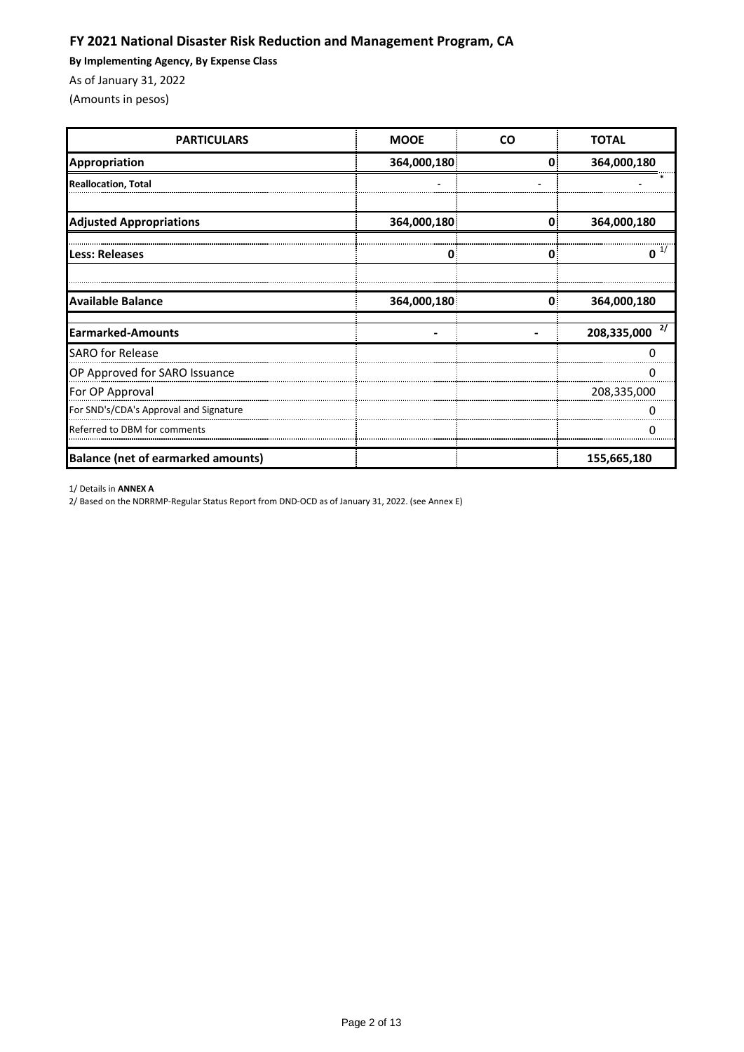## **FY 2021 National Disaster Risk Reduction and Management Program, CA**

**By Implementing Agency, By Expense Class**

As of January 31, 2022

(Amounts in pesos)

| <b>PARTICULARS</b>                        | <b>MOOE</b> | <b>CO</b> | <b>TOTAL</b>      |
|-------------------------------------------|-------------|-----------|-------------------|
| Appropriation                             | 364,000,180 | 0         | 364,000,180       |
| <b>Reallocation, Total</b>                |             |           |                   |
|                                           |             |           |                   |
| <b>Adjusted Appropriations</b>            | 364,000,180 | 0.        | 364,000,180       |
| Less: Releases                            | U           | 0.        | O                 |
|                                           |             |           |                   |
| <b>Available Balance</b>                  | 364,000,180 | 0         | 364,000,180       |
| Earmarked-Amounts                         |             |           | 2/<br>208,335,000 |
| <b>SARO</b> for Release                   |             |           |                   |
| OP Approved for SARO Issuance             |             |           |                   |
| For OP Approval                           |             |           | 208,335,000       |
| For SND's/CDA's Approval and Signature    |             |           |                   |
| Referred to DBM for comments              |             |           |                   |
| <b>Balance (net of earmarked amounts)</b> |             |           | 155,665,180       |

1/ Details in **ANNEX A**

2/ Based on the NDRRMP-Regular Status Report from DND-OCD as of January 31, 2022. (see Annex E)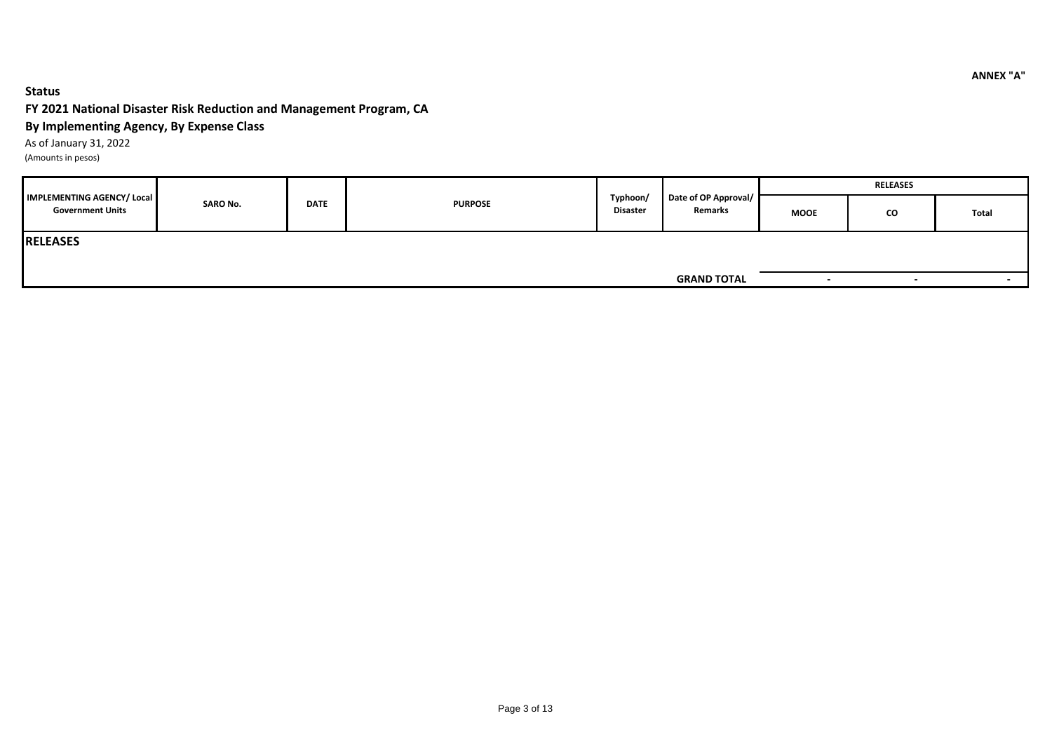#### **Status**

### **FY 2021 National Disaster Risk Reduction and Management Program, CA**

### **By Implementing Agency, By Expense Class**

As of January 31, 2022

(Amounts in pesos)

|                                                              |  | <b>SARO No.</b><br><b>DATE</b><br><b>PURPOSE</b> |                             |                                 |                    | <b>RELEASES</b>          |       |  |  |
|--------------------------------------------------------------|--|--------------------------------------------------|-----------------------------|---------------------------------|--------------------|--------------------------|-------|--|--|
| <b>IMPLEMENTING AGENCY/ Local</b><br><b>Government Units</b> |  |                                                  | Typhoon/<br><b>Disaster</b> | Date of OP Approval/<br>Remarks | <b>MOOE</b>        | CO                       | Total |  |  |
| <b>RELEASES</b>                                              |  |                                                  |                             |                                 |                    |                          |       |  |  |
|                                                              |  |                                                  |                             |                                 |                    |                          |       |  |  |
|                                                              |  |                                                  |                             |                                 | <b>GRAND TOTAL</b> | $\overline{\phantom{0}}$ |       |  |  |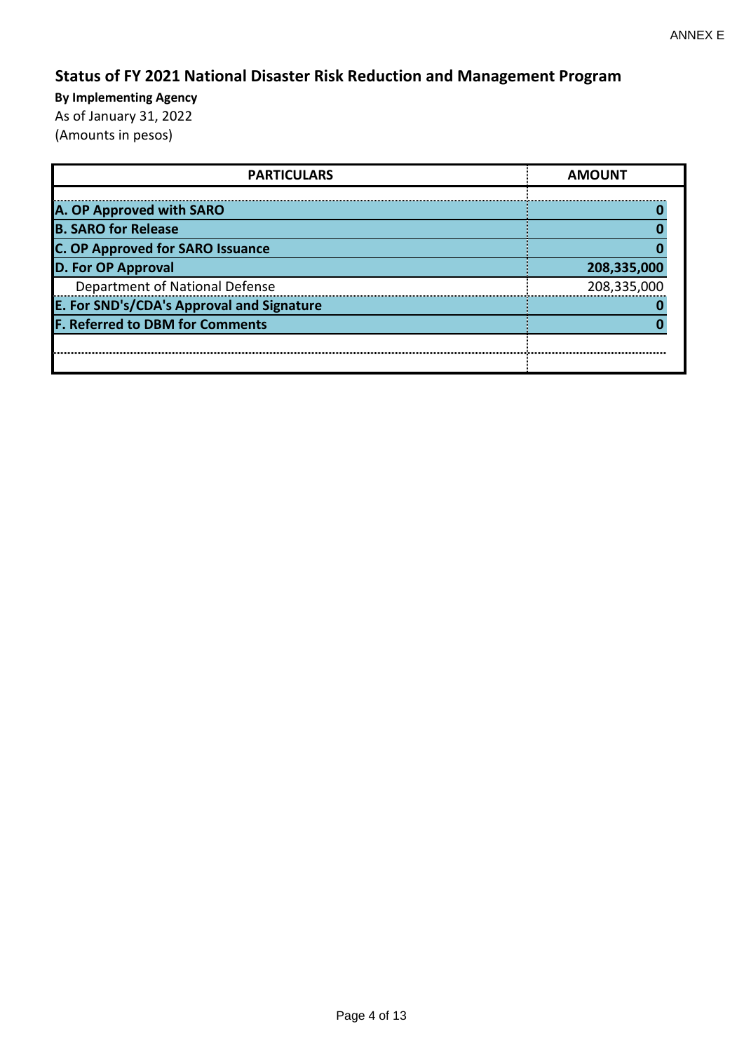# **Status of FY 2021 National Disaster Risk Reduction and Management Program**

| <b>PARTICULARS</b>                        | <b>AMOUNT</b> |  |  |  |
|-------------------------------------------|---------------|--|--|--|
|                                           |               |  |  |  |
| A. OP Approved with SARO                  |               |  |  |  |
| <b>B. SARO for Release</b>                |               |  |  |  |
| <b>C. OP Approved for SARO Issuance</b>   |               |  |  |  |
| <b>D. For OP Approval</b>                 | 208,335,000   |  |  |  |
| Department of National Defense            | 208,335,000   |  |  |  |
| E. For SND's/CDA's Approval and Signature |               |  |  |  |
| <b>F. Referred to DBM for Comments</b>    |               |  |  |  |
|                                           |               |  |  |  |
|                                           |               |  |  |  |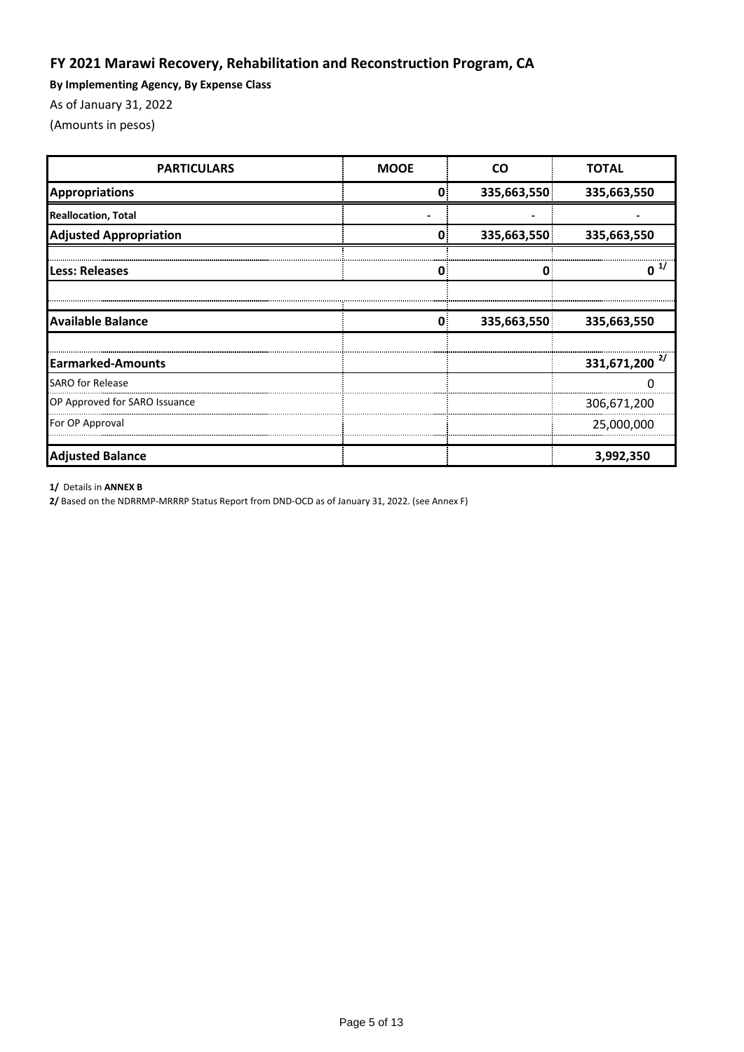## **FY 2021 Marawi Recovery, Rehabilitation and Reconstruction Program, CA**

**By Implementing Agency, By Expense Class**

As of January 31, 2022

(Amounts in pesos)

| <b>PARTICULARS</b>            | <b>MOOE</b> | CΩ          | <b>TOTAL</b>                |
|-------------------------------|-------------|-------------|-----------------------------|
| Appropriations                | 0.          | 335,663,550 | 335,663,550                 |
| <b>Reallocation, Total</b>    |             |             |                             |
| <b>Adjusted Appropriation</b> |             | 335,663,550 | 335,663,550                 |
| <b>Less: Releases</b>         |             | 0           | ŋ                           |
|                               |             |             |                             |
| <b>Available Balance</b>      | Ω           | 335,663,550 | 335,663,550                 |
|                               |             |             |                             |
| <b>Earmarked-Amounts</b>      |             |             | $331,671,200$ <sup>2/</sup> |
| <b>SARO for Release</b>       |             |             |                             |
| OP Approved for SARO Issuance |             |             | 306,671,200                 |
| For OP Approval               |             |             | 25,000,000                  |
| <b>Adjusted Balance</b>       |             |             | 3,992,350                   |

**1/** Details in **ANNEX B**

**2/** Based on the NDRRMP-MRRRP Status Report from DND-OCD as of January 31, 2022. (see Annex F)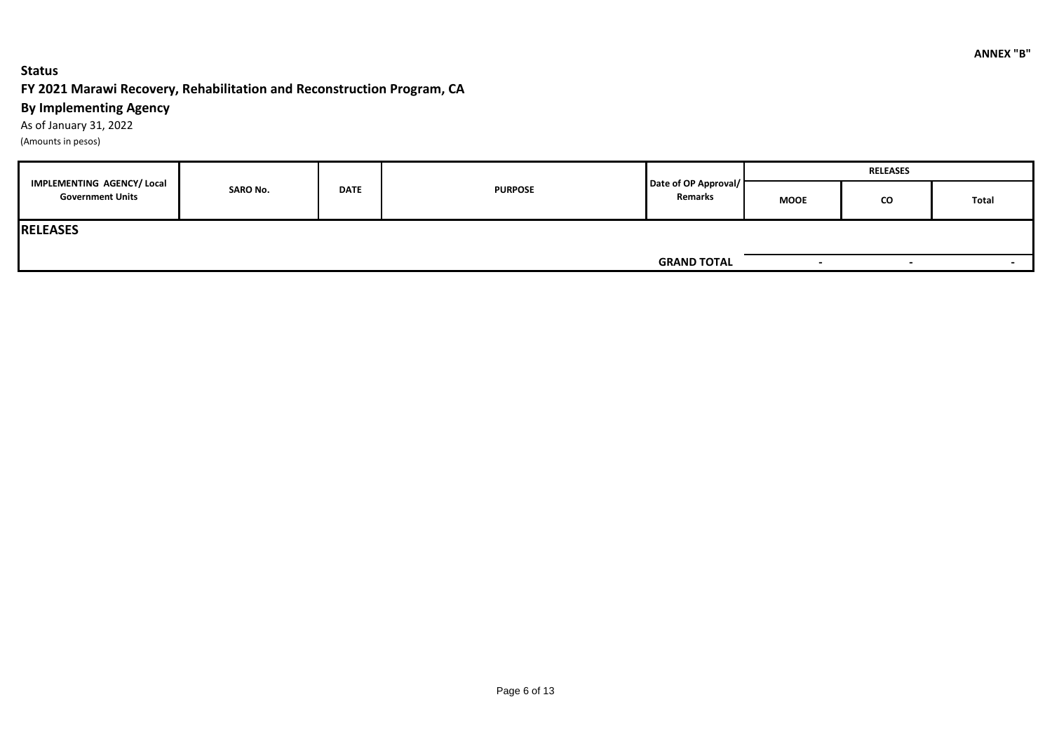### **Status**

### **FY 2021 Marawi Recovery, Rehabilitation and Reconstruction Program, CA**

### **By Implementing Agency**

As of January 31, 2022 (Amounts in pesos)

|                                                       |                 |             |                |                                 | <b>RELEASES</b>          |                          |                          |  |
|-------------------------------------------------------|-----------------|-------------|----------------|---------------------------------|--------------------------|--------------------------|--------------------------|--|
| IMPLEMENTING AGENCY/ Local<br><b>Government Units</b> | <b>SARO No.</b> | <b>DATE</b> | <b>PURPOSE</b> | Date of OP Approval/<br>Remarks | <b>MOOE</b>              | <b>CO</b>                | Total                    |  |
| <b>RELEASES</b>                                       |                 |             |                |                                 |                          |                          |                          |  |
|                                                       |                 |             |                | <b>GRAND TOTAL</b>              | $\overline{\phantom{a}}$ | $\overline{\phantom{0}}$ | $\overline{\phantom{a}}$ |  |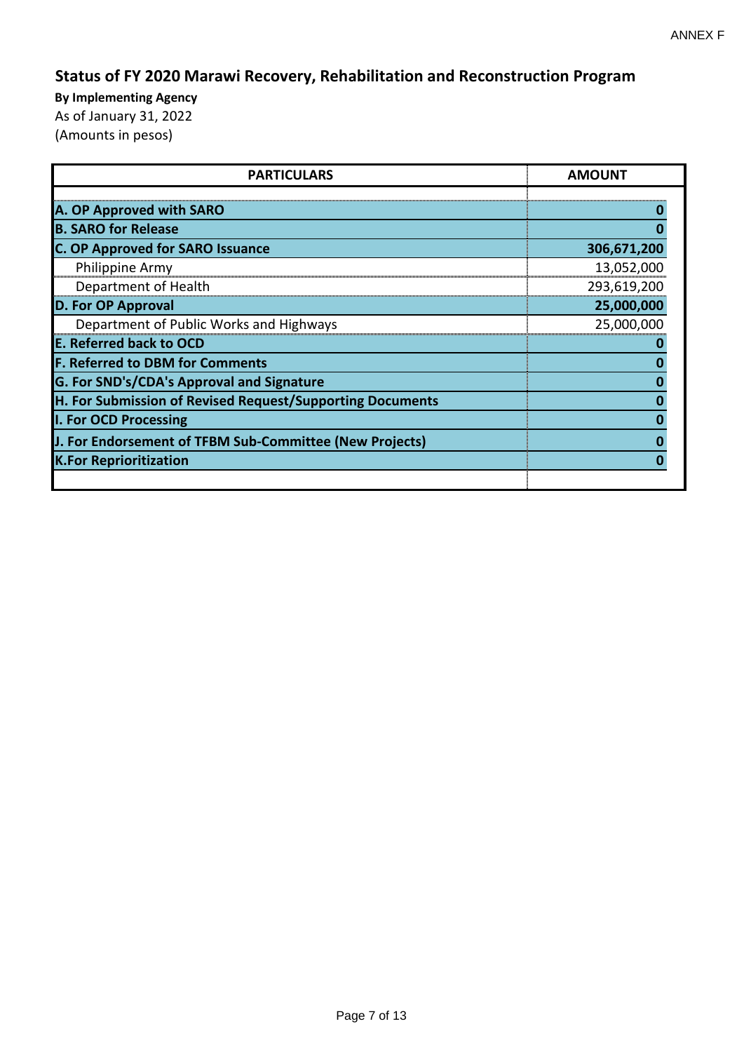# **Status of FY 2020 Marawi Recovery, Rehabilitation and Reconstruction Program**

| <b>PARTICULARS</b>                                        | <b>AMOUNT</b> |
|-----------------------------------------------------------|---------------|
|                                                           |               |
| A. OP Approved with SARO                                  |               |
| <b>B. SARO for Release</b>                                |               |
| <b>C. OP Approved for SARO Issuance</b>                   | 306,671,200   |
| Philippine Army                                           | 13,052,000    |
| Department of Health                                      | 293,619,200   |
| <b>D. For OP Approval</b>                                 | 25,000,000    |
| Department of Public Works and Highways                   | 25,000,000    |
| <b>E. Referred back to OCD</b>                            |               |
| <b>F. Referred to DBM for Comments</b>                    |               |
| G. For SND's/CDA's Approval and Signature                 |               |
| H. For Submission of Revised Request/Supporting Documents |               |
| I. For OCD Processing                                     |               |
| J. For Endorsement of TFBM Sub-Committee (New Projects)   |               |
| <b>K.For Reprioritization</b>                             |               |
|                                                           |               |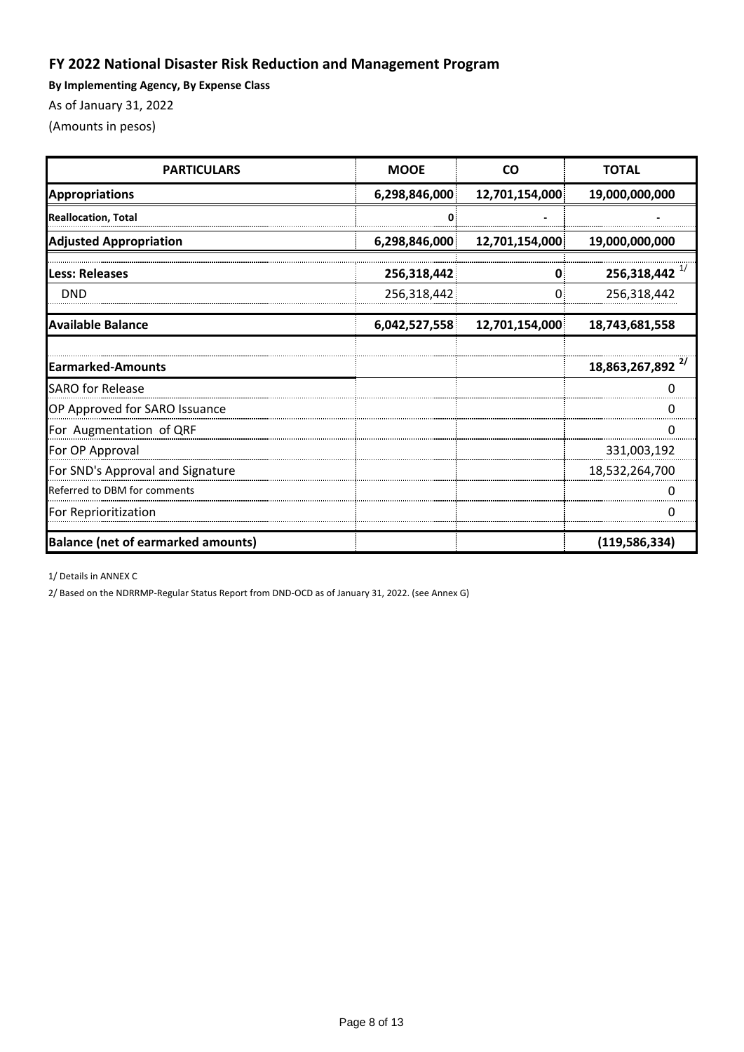## **FY 2022 National Disaster Risk Reduction and Management Program**

**By Implementing Agency, By Expense Class**

As of January 31, 2022

(Amounts in pesos)

| <b>PARTICULARS</b>                        | <b>MOOE</b>   | <b>CO</b>      | <b>TOTAL</b>                 |
|-------------------------------------------|---------------|----------------|------------------------------|
| <b>Appropriations</b>                     | 6,298,846,000 | 12,701,154,000 | 19,000,000,000               |
| <b>Reallocation, Total</b>                |               |                |                              |
| <b>Adjusted Appropriation</b>             | 6,298,846,000 | 12,701,154,000 | 19,000,000,000               |
| <b>Less: Releases</b>                     | 256,318,442   | 0              | $256,318,442$ <sup>1/</sup>  |
| <b>DND</b>                                | 256,318,442   |                | 256,318,442                  |
| <b>Available Balance</b>                  | 6,042,527,558 | 12,701,154,000 | 18,743,681,558               |
|                                           |               |                |                              |
| <b>Earmarked-Amounts</b>                  |               |                | 18,863,267,892 <sup>2/</sup> |
| <b>SARO for Release</b>                   |               |                |                              |
| OP Approved for SARO Issuance             |               |                |                              |
| For Augmentation of QRF                   |               |                |                              |
| For OP Approval                           |               |                | 331,003,192                  |
| For SND's Approval and Signature          |               |                | 18,532,264,700               |
| Referred to DBM for comments              |               |                |                              |
| For Reprioritization                      |               |                |                              |
| <b>Balance (net of earmarked amounts)</b> |               |                | (119, 586, 334)              |

1/ Details in ANNEX C

2/ Based on the NDRRMP-Regular Status Report from DND-OCD as of January 31, 2022. (see Annex G)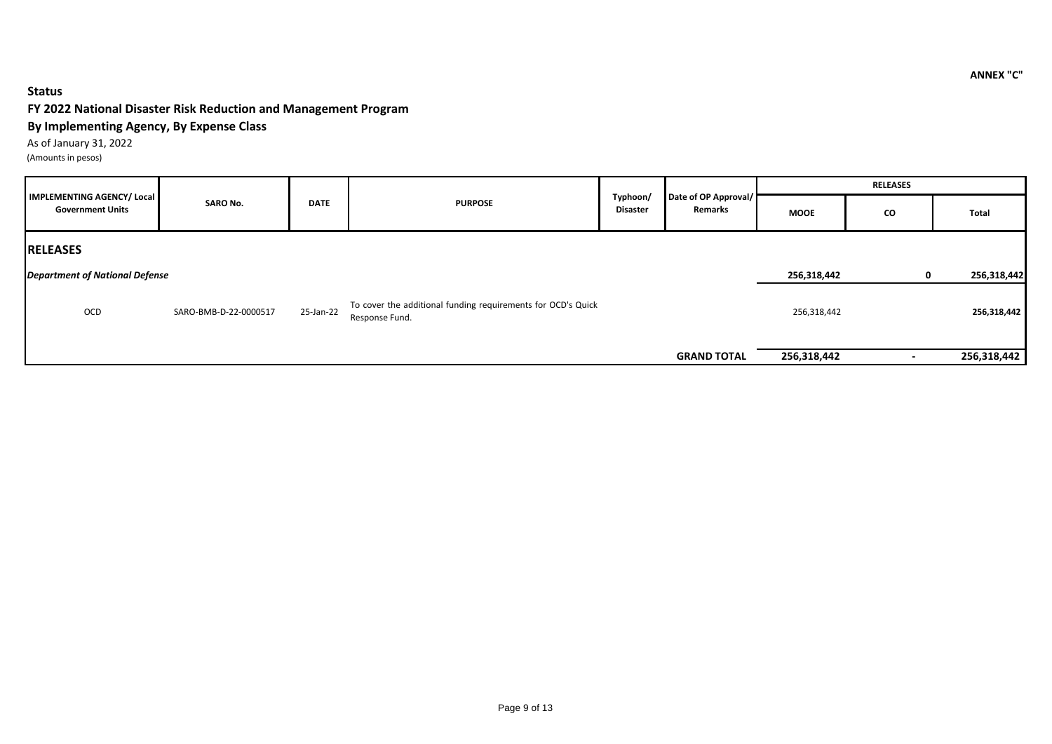### **Status**

#### **FY 2022 National Disaster Risk Reduction and Management Program**

#### **By Implementing Agency, By Expense Class**

As of January 31, 2022 (Amounts in pesos)

|                                                       |                       |             |                                                                                |                      |                                 | <b>RELEASES</b> |          |             |  |
|-------------------------------------------------------|-----------------------|-------------|--------------------------------------------------------------------------------|----------------------|---------------------------------|-----------------|----------|-------------|--|
| IMPLEMENTING AGENCY/ Local<br><b>Government Units</b> | <b>SARO No.</b>       | <b>DATE</b> | <b>PURPOSE</b>                                                                 | Typhoon/<br>Disaster | Date of OP Approval/<br>Remarks | <b>MOOE</b>     | CO       | Total       |  |
| <b>RELEASES</b>                                       |                       |             |                                                                                |                      |                                 |                 |          |             |  |
| <b>Department of National Defense</b>                 |                       |             |                                                                                |                      |                                 | 256,318,442     | $\Omega$ | 256,318,442 |  |
| OCD                                                   | SARO-BMB-D-22-0000517 | 25-Jan-22   | To cover the additional funding requirements for OCD's Quick<br>Response Fund. |                      |                                 | 256,318,442     |          | 256,318,442 |  |
|                                                       |                       |             |                                                                                |                      | <b>GRAND TOTAL</b>              | 256,318,442     |          | 256,318,442 |  |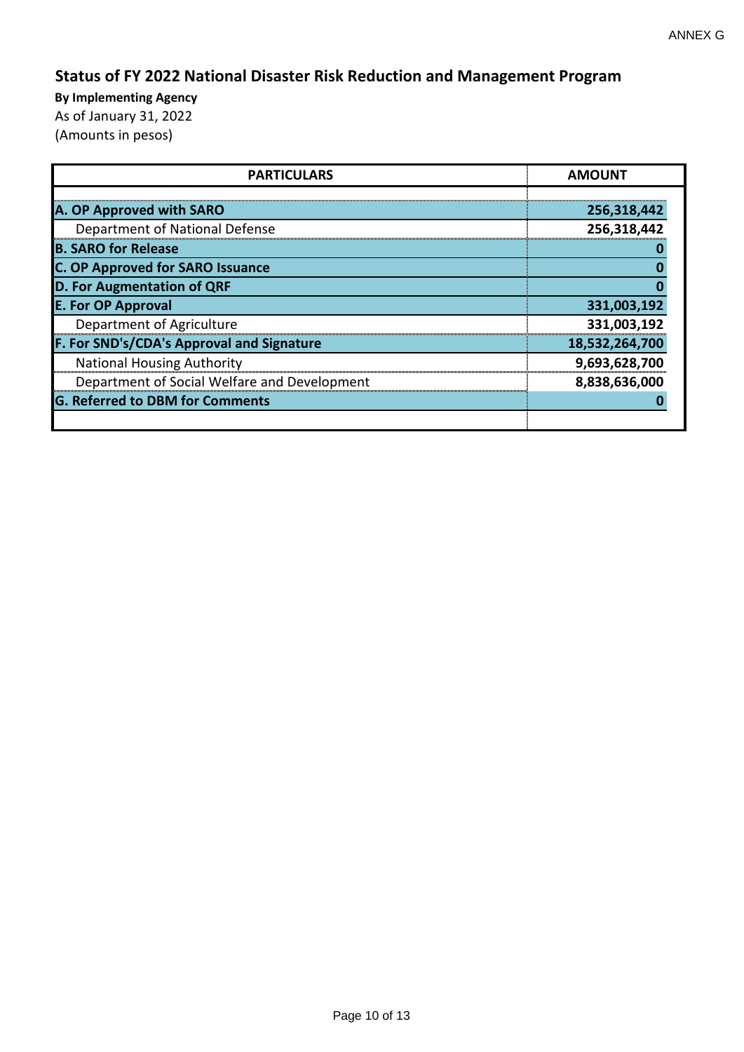# **Status of FY 2022 National Disaster Risk Reduction and Management Program**

| <b>PARTICULARS</b>                           | <b>AMOUNT</b>  |
|----------------------------------------------|----------------|
|                                              |                |
| A. OP Approved with SARO                     | 256,318,442    |
| Department of National Defense               | 256,318,442    |
| <b>B. SARO for Release</b>                   |                |
| <b>C. OP Approved for SARO Issuance</b>      |                |
| D. For Augmentation of QRF                   |                |
| <b>E. For OP Approval</b>                    | 331,003,192    |
| Department of Agriculture                    | 331,003,192    |
| F. For SND's/CDA's Approval and Signature    | 18,532,264,700 |
| <b>National Housing Authority</b>            | 9,693,628,700  |
| Department of Social Welfare and Development | 8,838,636,000  |
| <b>G. Referred to DBM for Comments</b>       |                |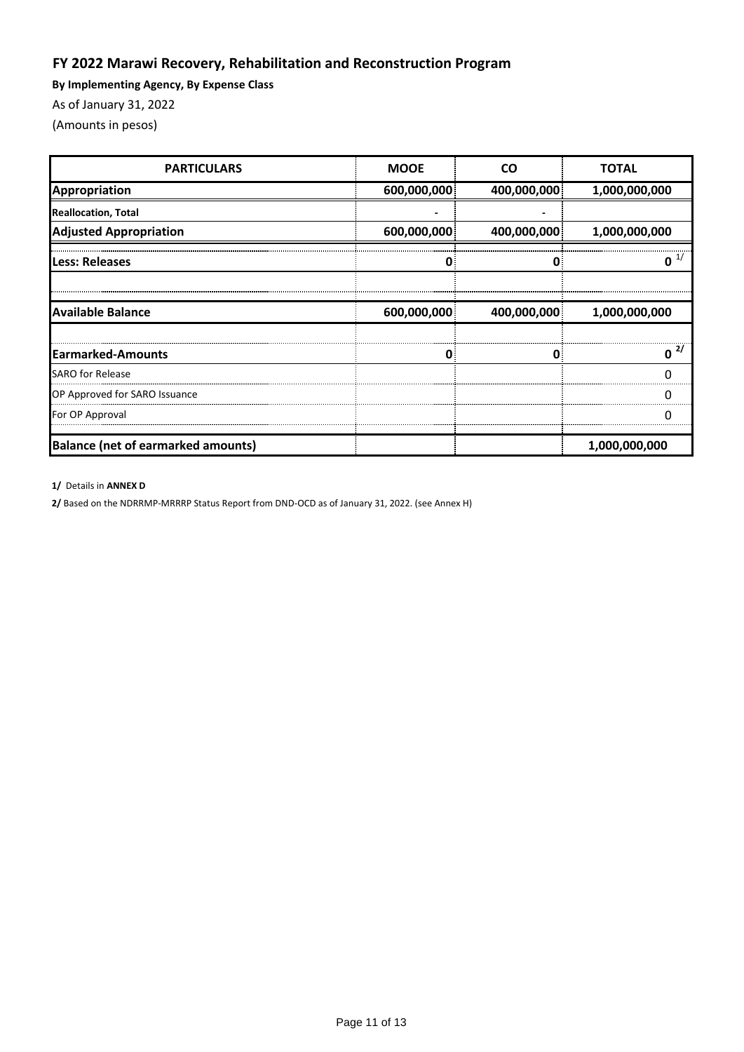## **FY 2022 Marawi Recovery, Rehabilitation and Reconstruction Program**

**By Implementing Agency, By Expense Class**

As of January 31, 2022

(Amounts in pesos)

| <b>PARTICULARS</b>                        | <b>MOOE</b> | <b>CO</b>   | <b>TOTAL</b>  |
|-------------------------------------------|-------------|-------------|---------------|
| Appropriation                             | 600,000,000 | 400,000,000 | 1,000,000,000 |
| <b>Reallocation, Total</b>                |             |             |               |
| <b>Adjusted Appropriation</b>             | 600,000,000 | 400,000,000 | 1,000,000,000 |
| Less: Releases                            |             |             |               |
| <b>Available Balance</b>                  | 600,000,000 | 400,000,000 | 1,000,000,000 |
| <b>Earmarked-Amounts</b>                  | 0           | ſ           | 2/            |
| <b>SARO for Release</b>                   |             |             |               |
| OP Approved for SARO Issuance             |             |             |               |
| For OP Approval                           |             |             |               |
| <b>Balance (net of earmarked amounts)</b> |             |             | 1,000,000,000 |

**1/** Details in **ANNEX D**

**2/** Based on the NDRRMP-MRRRP Status Report from DND-OCD as of January 31, 2022. (see Annex H)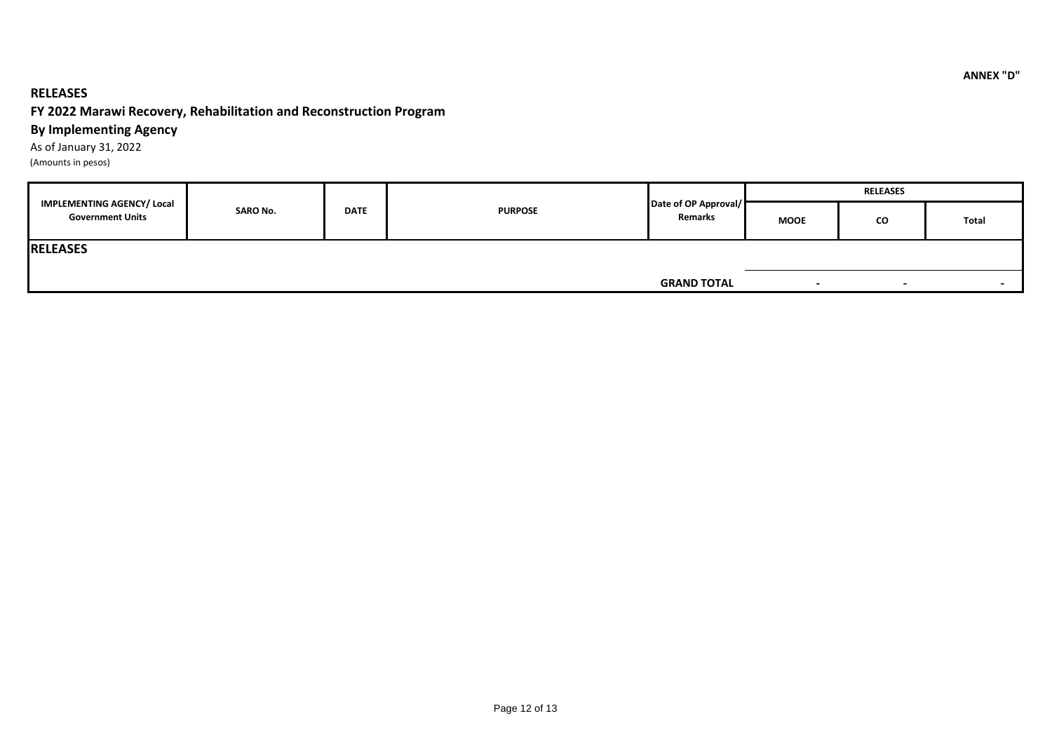### **RELEASES**

### **FY 2022 Marawi Recovery, Rehabilitation and Reconstruction Program**

### **By Implementing Agency**

As of January 31, 2022

(Amounts in pesos)

|                                                              |                 |             |                | Date of OP Approval/<br>Remarks | <b>RELEASES</b> |                          |                          |  |
|--------------------------------------------------------------|-----------------|-------------|----------------|---------------------------------|-----------------|--------------------------|--------------------------|--|
| <b>IMPLEMENTING AGENCY/ Local</b><br><b>Government Units</b> | <b>SARO No.</b> | <b>DATE</b> | <b>PURPOSE</b> |                                 | <b>MOOE</b>     | CO                       | Total                    |  |
| <b>RELEASES</b>                                              |                 |             |                |                                 |                 |                          |                          |  |
|                                                              |                 |             |                | <b>GRAND TOTAL</b>              |                 | $\overline{\phantom{0}}$ | $\overline{\phantom{a}}$ |  |